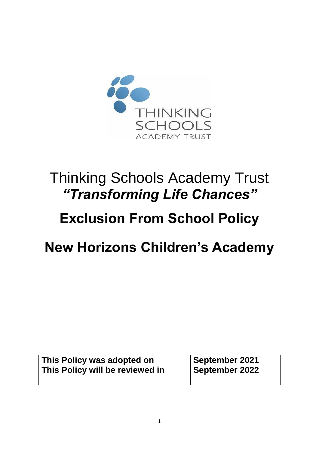

# Thinking Schools Academy Trust *"Transforming Life Chances"*

# **Exclusion From School Policy**

# **New Horizons Children's Academy**

| This Policy was adopted on      | September 2021 |
|---------------------------------|----------------|
| This Policy will be reviewed in | September 2022 |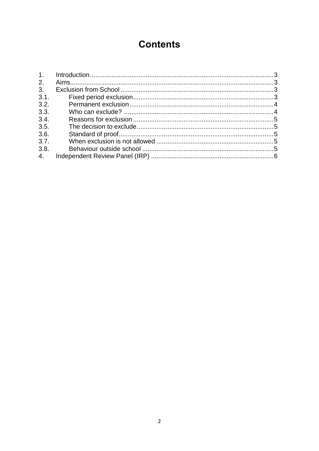# **Contents**

| 2.   |  |
|------|--|
| 3.   |  |
| 3.1. |  |
| 3.2. |  |
| 3.3. |  |
| 3.4. |  |
| 3.5. |  |
| 3.6. |  |
| 3.7. |  |
| 3.8. |  |
| 4.   |  |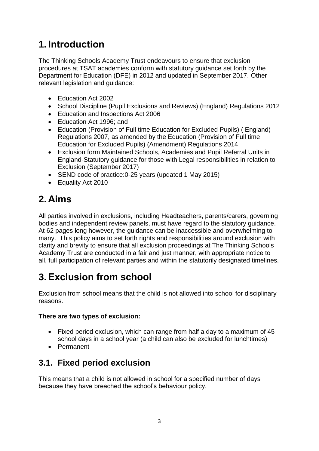# <span id="page-2-0"></span>**1. Introduction**

The Thinking Schools Academy Trust endeavours to ensure that exclusion procedures at TSAT academies conform with statutory guidance set forth by the Department for Education (DFE) in 2012 and updated in September 2017. Other relevant legislation and guidance:

- Fducation Act 2002
- School Discipline (Pupil Exclusions and Reviews) (England) Regulations 2012
- Education and Inspections Act 2006
- Education Act 1996; and
- Education (Provision of Full time Education for Excluded Pupils) ( England) Regulations 2007, as amended by the Education (Provision of Full time Education for Excluded Pupils) (Amendment) Regulations 2014
- Exclusion form Maintained Schools, Academies and Pupil Referral Units in England-Statutory guidance for those with Legal responsibilities in relation to Exclusion (September 2017)
- SEND code of practice: 0-25 years (updated 1 May 2015)
- Equality Act 2010

# <span id="page-2-1"></span>**2. Aims**

All parties involved in exclusions, including Headteachers, parents/carers, governing bodies and independent review panels, must have regard to the statutory guidance. At 62 pages long however, the guidance can be inaccessible and overwhelming to many. This policy aims to set forth rights and responsibilities around exclusion with clarity and brevity to ensure that all exclusion proceedings at The Thinking Schools Academy Trust are conducted in a fair and just manner, with appropriate notice to all, full participation of relevant parties and within the statutorily designated timelines.

# <span id="page-2-2"></span>**3. Exclusion from school**

Exclusion from school means that the child is not allowed into school for disciplinary reasons.

#### **There are two types of exclusion:**

- Fixed period exclusion, which can range from half a day to a maximum of 45 school days in a school year (a child can also be excluded for lunchtimes)
- Permanent

## <span id="page-2-3"></span>**3.1. Fixed period exclusion**

This means that a child is not allowed in school for a specified number of days because they have breached the school's behaviour policy.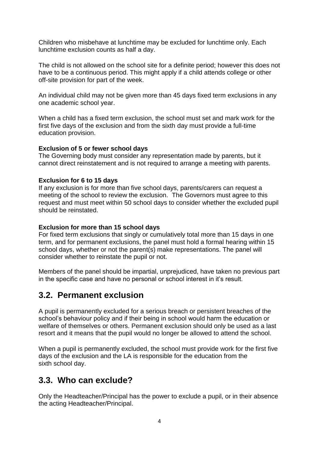Children who misbehave at lunchtime may be excluded for lunchtime only. Each lunchtime exclusion counts as half a day.

The child is not allowed on the school site for a definite period; however this does not have to be a continuous period. This might apply if a child attends college or other off-site provision for part of the week.

An individual child may not be given more than 45 days fixed term exclusions in any one academic school year.

When a child has a fixed term exclusion, the school must set and mark work for the first five days of the exclusion and from the sixth day must provide a full-time education provision.

#### **Exclusion of 5 or fewer school days**

The Governing body must consider any representation made by parents, but it cannot direct reinstatement and is not required to arrange a meeting with parents.

#### **Exclusion for 6 to 15 days**

If any exclusion is for more than five school days, parents/carers can request a meeting of the school to review the exclusion. The Governors must agree to this request and must meet within 50 school days to consider whether the excluded pupil should be reinstated.

#### **Exclusion for more than 15 school days**

For fixed term exclusions that singly or cumulatively total more than 15 days in one term, and for permanent exclusions, the panel must hold a formal hearing within 15 school days, whether or not the parent(s) make representations. The panel will consider whether to reinstate the pupil or not.

Members of the panel should be impartial, unprejudiced, have taken no previous part in the specific case and have no personal or school interest in it's result.

### <span id="page-3-0"></span>**3.2. Permanent exclusion**

A pupil is permanently excluded for a serious breach or persistent breaches of the school's behaviour policy and if their being in school would harm the education or welfare of themselves or others. Permanent exclusion should only be used as a last resort and it means that the pupil would no longer be allowed to attend the school.

When a pupil is permanently excluded, the school must provide work for the first five days of the exclusion and the LA is responsible for the education from the sixth school day.

### <span id="page-3-1"></span>**3.3. Who can exclude?**

Only the Headteacher/Principal has the power to exclude a pupil, or in their absence the acting Headteacher/Principal.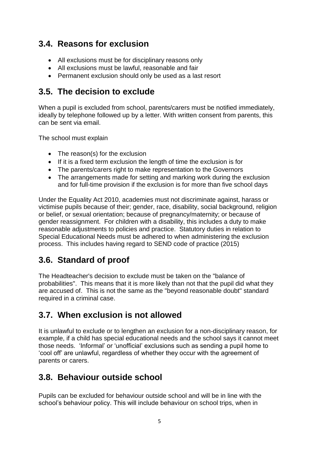### <span id="page-4-0"></span>**3.4. Reasons for exclusion**

- All exclusions must be for disciplinary reasons only
- All exclusions must be lawful, reasonable and fair
- Permanent exclusion should only be used as a last resort

### <span id="page-4-1"></span>**3.5. The decision to exclude**

When a pupil is excluded from school, parents/carers must be notified immediately, ideally by telephone followed up by a letter. With written consent from parents, this can be sent via email.

The school must explain

- The reason(s) for the exclusion
- If it is a fixed term exclusion the length of time the exclusion is for
- The parents/carers right to make representation to the Governors
- The arrangements made for setting and marking work during the exclusion and for full-time provision if the exclusion is for more than five school days

Under the Equality Act 2010, academies must not discriminate against, harass or victimise pupils because of their; gender, race, disability, social background, religion or belief, or sexual orientation; because of pregnancy/maternity; or because of gender reassignment. For children with a disability, this includes a duty to make reasonable adjustments to policies and practice. Statutory duties in relation to Special Educational Needs must be adhered to when administering the exclusion process. This includes having regard to SEND code of practice (2015)

## <span id="page-4-2"></span>**3.6. Standard of proof**

The Headteacher's decision to exclude must be taken on the "balance of probabilities". This means that it is more likely than not that the pupil did what they are accused of. This is not the same as the "beyond reasonable doubt" standard required in a criminal case.

## <span id="page-4-3"></span>**3.7. When exclusion is not allowed**

It is unlawful to exclude or to lengthen an exclusion for a non-disciplinary reason, for example, if a child has special educational needs and the school says it cannot meet those needs. 'Informal' or 'unofficial' exclusions such as sending a pupil home to 'cool off' are unlawful, regardless of whether they occur with the agreement of parents or carers.

### <span id="page-4-4"></span>**3.8. Behaviour outside school**

Pupils can be excluded for behaviour outside school and will be in line with the school's behaviour policy. This will include behaviour on school trips, when in